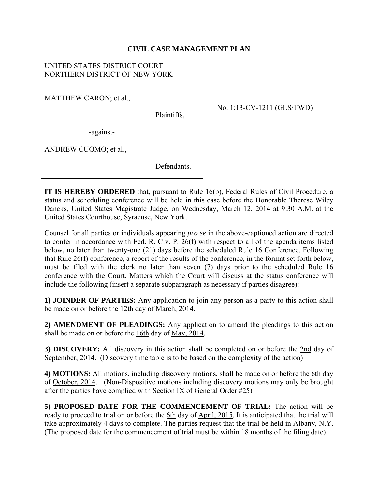#### **CIVIL CASE MANAGEMENT PLAN**

#### UNITED STATES DISTRICT COURT NORTHERN DISTRICT OF NEW YORK

MATTHEW CARON; et al.,

Plaintiffs,

-against-

ANDREW CUOMO; et al.,

**Defendants** 

No. 1:13-CV-1211 (GLS/TWD)

**IT IS HEREBY ORDERED** that, pursuant to Rule 16(b), Federal Rules of Civil Procedure, a status and scheduling conference will be held in this case before the Honorable Therese Wiley Dancks, United States Magistrate Judge, on Wednesday, March 12, 2014 at 9:30 A.M. at the United States Courthouse, Syracuse, New York.

Counsel for all parties or individuals appearing *pro se* in the above-captioned action are directed to confer in accordance with Fed. R. Civ. P. 26(f) with respect to all of the agenda items listed below, no later than twenty-one (21) days before the scheduled Rule 16 Conference. Following that Rule 26(f) conference, a report of the results of the conference, in the format set forth below, must be filed with the clerk no later than seven (7) days prior to the scheduled Rule 16 conference with the Court. Matters which the Court will discuss at the status conference will include the following (insert a separate subparagraph as necessary if parties disagree):

**1) JOINDER OF PARTIES:** Any application to join any person as a party to this action shall be made on or before the 12th day of March, 2014.

**2) AMENDMENT OF PLEADINGS:** Any application to amend the pleadings to this action shall be made on or before the 16th day of May, 2014.

**3) DISCOVERY:** All discovery in this action shall be completed on or before the 2nd day of September, 2014. (Discovery time table is to be based on the complexity of the action)

**4) MOTIONS:** All motions, including discovery motions, shall be made on or before the 6th day of October, 2014. (Non-Dispositive motions including discovery motions may only be brought after the parties have complied with Section IX of General Order #25)

**5) PROPOSED DATE FOR THE COMMENCEMENT OF TRIAL:** The action will be ready to proceed to trial on or before the 6th day of April, 2015. It is anticipated that the trial will take approximately 4 days to complete. The parties request that the trial be held in Albany, N.Y. (The proposed date for the commencement of trial must be within 18 months of the filing date).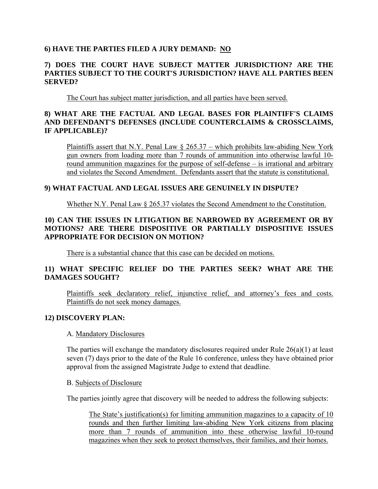## **6) HAVE THE PARTIES FILED A JURY DEMAND: NO**

## **7) DOES THE COURT HAVE SUBJECT MATTER JURISDICTION? ARE THE PARTIES SUBJECT TO THE COURT'S JURISDICTION? HAVE ALL PARTIES BEEN SERVED?**

The Court has subject matter jurisdiction, and all parties have been served.

## **8) WHAT ARE THE FACTUAL AND LEGAL BASES FOR PLAINTIFF'S CLAIMS AND DEFENDANT'S DEFENSES (INCLUDE COUNTERCLAIMS & CROSSCLAIMS, IF APPLICABLE)?**

Plaintiffs assert that N.Y. Penal Law  $\S$  265.37 – which prohibits law-abiding New York gun owners from loading more than 7 rounds of ammunition into otherwise lawful 10 round ammunition magazines for the purpose of self-defense – is irrational and arbitrary and violates the Second Amendment. Defendants assert that the statute is constitutional.

# **9) WHAT FACTUAL AND LEGAL ISSUES ARE GENUINELY IN DISPUTE?**

Whether N.Y. Penal Law § 265.37 violates the Second Amendment to the Constitution.

# **10) CAN THE ISSUES IN LITIGATION BE NARROWED BY AGREEMENT OR BY MOTIONS? ARE THERE DISPOSITIVE OR PARTIALLY DISPOSITIVE ISSUES APPROPRIATE FOR DECISION ON MOTION?**

There is a substantial chance that this case can be decided on motions.

# **11) WHAT SPECIFIC RELIEF DO THE PARTIES SEEK? WHAT ARE THE DAMAGES SOUGHT?**

Plaintiffs seek declaratory relief, injunctive relief, and attorney's fees and costs. Plaintiffs do not seek money damages.

## **12) DISCOVERY PLAN:**

#### A. Mandatory Disclosures

The parties will exchange the mandatory disclosures required under Rule 26(a)(1) at least seven (7) days prior to the date of the Rule 16 conference, unless they have obtained prior approval from the assigned Magistrate Judge to extend that deadline.

#### B. Subjects of Disclosure

The parties jointly agree that discovery will be needed to address the following subjects:

The State's justification(s) for limiting ammunition magazines to a capacity of 10 rounds and then further limiting law-abiding New York citizens from placing more than 7 rounds of ammunition into these otherwise lawful 10-round magazines when they seek to protect themselves, their families, and their homes.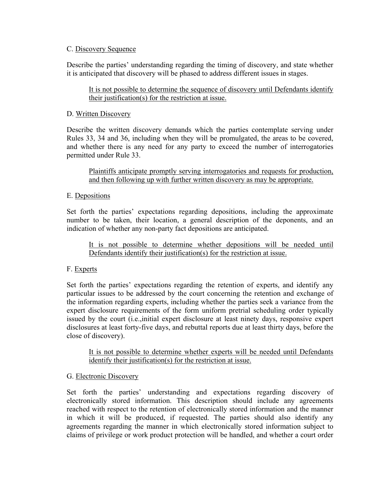#### C. Discovery Sequence

Describe the parties' understanding regarding the timing of discovery, and state whether it is anticipated that discovery will be phased to address different issues in stages.

## It is not possible to determine the sequence of discovery until Defendants identify their justification(s) for the restriction at issue.

## D. Written Discovery

Describe the written discovery demands which the parties contemplate serving under Rules 33, 34 and 36, including when they will be promulgated, the areas to be covered, and whether there is any need for any party to exceed the number of interrogatories permitted under Rule 33.

Plaintiffs anticipate promptly serving interrogatories and requests for production, and then following up with further written discovery as may be appropriate.

## E. Depositions

Set forth the parties' expectations regarding depositions, including the approximate number to be taken, their location, a general description of the deponents, and an indication of whether any non-party fact depositions are anticipated.

It is not possible to determine whether depositions will be needed until Defendants identify their justification(s) for the restriction at issue.

## F. Experts

Set forth the parties' expectations regarding the retention of experts, and identify any particular issues to be addressed by the court concerning the retention and exchange of the information regarding experts, including whether the parties seek a variance from the expert disclosure requirements of the form uniform pretrial scheduling order typically issued by the court (i.e.,initial expert disclosure at least ninety days, responsive expert disclosures at least forty-five days, and rebuttal reports due at least thirty days, before the close of discovery).

It is not possible to determine whether experts will be needed until Defendants identify their justification(s) for the restriction at issue.

## G. Electronic Discovery

Set forth the parties' understanding and expectations regarding discovery of electronically stored information. This description should include any agreements reached with respect to the retention of electronically stored information and the manner in which it will be produced, if requested. The parties should also identify any agreements regarding the manner in which electronically stored information subject to claims of privilege or work product protection will be handled, and whether a court order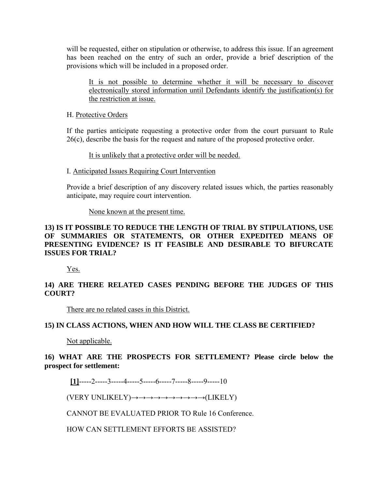will be requested, either on stipulation or otherwise, to address this issue. If an agreement has been reached on the entry of such an order, provide a brief description of the provisions which will be included in a proposed order.

It is not possible to determine whether it will be necessary to discover electronically stored information until Defendants identify the justification(s) for the restriction at issue.

#### H. Protective Orders

If the parties anticipate requesting a protective order from the court pursuant to Rule 26(c), describe the basis for the request and nature of the proposed protective order.

It is unlikely that a protective order will be needed.

#### I. Anticipated Issues Requiring Court Intervention

Provide a brief description of any discovery related issues which, the parties reasonably anticipate, may require court intervention.

#### None known at the present time.

## **13) IS IT POSSIBLE TO REDUCE THE LENGTH OF TRIAL BY STIPULATIONS, USE OF SUMMARIES OR STATEMENTS, OR OTHER EXPEDITED MEANS OF PRESENTING EVIDENCE? IS IT FEASIBLE AND DESIRABLE TO BIFURCATE ISSUES FOR TRIAL?**

Yes.

# **14) ARE THERE RELATED CASES PENDING BEFORE THE JUDGES OF THIS COURT?**

There are no related cases in this District.

## **15) IN CLASS ACTIONS, WHEN AND HOW WILL THE CLASS BE CERTIFIED?**

Not applicable.

# **16) WHAT ARE THE PROSPECTS FOR SETTLEMENT? Please circle below the prospect for settlement:**

## **[1]**-----2-----3-----4-----5-----6-----7-----8-----9-----10

(VERY UNLIKELY) $\rightarrow \rightarrow \rightarrow \rightarrow \rightarrow \rightarrow \rightarrow \rightarrow \rightarrow (LIKELY)$ 

CANNOT BE EVALUATED PRIOR TO Rule 16 Conference.

HOW CAN SETTLEMENT EFFORTS BE ASSISTED?